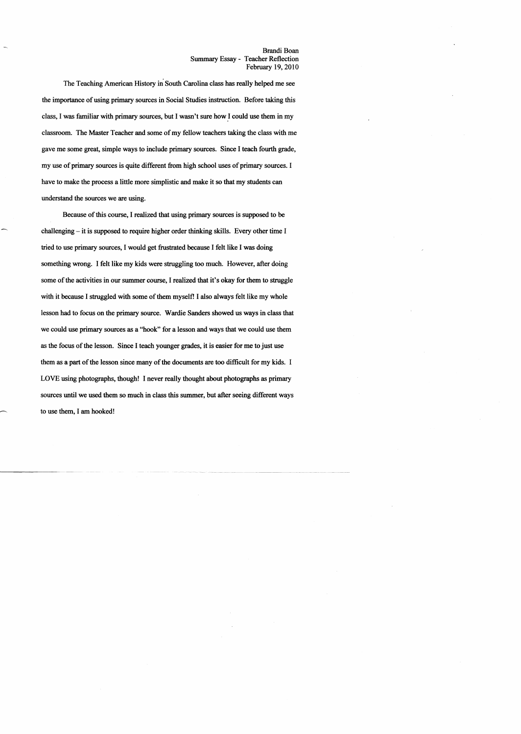The Teaching American History in South Carolina class has really helped me see the importance of using primary sources in Social Studies instruction. Before taking this class, I was familiar with primary sources, but I wasn't sure how.1 could use them in my classroom. The Master Teacher and some of my fellow teachers taking the class with me gave me some great, simple ways to include primary sources. Since I teach fourth grade, my use of primary sources is quite different from high school uses of primary sources. I have to make the process a little more simplistic and make it so that my students can understand the sources we are using.

Because of this course, I realized that using primary sources is supposed to be challenging – it is supposed to require higher order thinking skills. Every other time I tried to use primary sources, I would get frustrated because I felt like I was doing something wrong. 1 felt like my kids were struggling too much. However, after doing some of the activities in our summer course, I realized that it's okay for them to struggle with it because I struggled with some of them myself! I also always felt like my whole lesson had to focus on the primary source. Wardie Sanders showed us ways in class that we could use primary sources as a "hook" for a lesson and ways that we could use them as the focus ofthe lesson. Since I teach younger grades, it is easier for me to just use them as a part of the lesson since many of the documents are too difficult for my kids. I LOVE using photographs, though! I never really thought about photographs as primary sources until we used them so much in class this summer, but after seeing different ways to use them, I am hooked!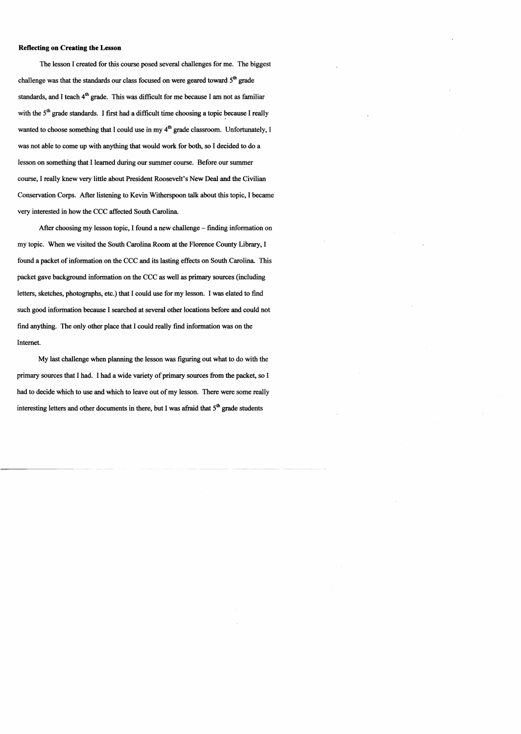## Reflecting on Creating the Lesson

The lesson I created for this course posed several challenges for me. The biggest challenge was that the standards our class focused on were geared toward  $5<sup>th</sup>$  grade standards, and I teach  $4<sup>th</sup>$  grade. This was difficult for me because I am not as familiar with the  $5<sup>th</sup>$  grade standards. I first had a difficult time choosing a topic because I really wanted to choose something that I could use in my  $4<sup>th</sup>$  grade classroom. Unfortunately, I was not able to come up with anything that would work for both, so I decided to do a lesson on something that I learned during our summer course. Before our summer course, I really knew very little about President Roosevelt's New Deal and the Civilian Conservation Corps. After listening to Kevin Witherspoon talk about this topic, I became very interested in how the CCC affected South Carolina.

After choosing my lesson topic, I found a new challenge – finding information on my topic. When we visited the South Carolina Room at the Florence County Library, I found a packet of information on the CCC and its lasting effects on South Carolina. This packet gave background information on the CCC as well as primary sources (including letters, sketches, photographs, etc.) that I could use for my lesson. I was elated to find such good information because I searched at several other locations before and could not find anything. The only other place that I could really find information was on the Internet.

My last challenge when planning the lesson was figuring out what to do with the primary sources that I had. I had a wide variety of primary sources from the packet, so I had to decide which to use and which to leave out of my lesson. There were some really interesting letters and other documents in there, but I was afraid that  $5<sup>th</sup>$  grade students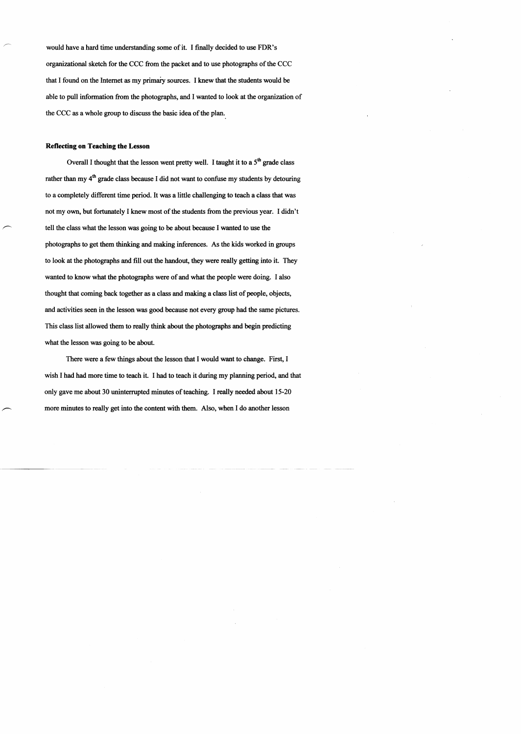would have a hard time understanding some of it. I finally decided to use FDR's organizational sketch for the CCC from the packet and to use photographs of the CCC that I found on the Internet as my primaiy sources. I knew that the students would be able to pull information from the photographs, and I wanted to look at the organization of the CCC as a whole group to discuss the basic idea of the plan.

## Reflecting on Teaching the Lesson

Overall I thought that the lesson went pretty well. I taught it to a  $5<sup>th</sup>$  grade class rather than my  $4<sup>th</sup>$  grade class because I did not want to confuse my students by detouring to a completely different time period. It was a little challenging to teach a class that was not my own, but fortunately I knew most of the students from the previous year. I didn't tell the class what the lesson was going to be about because I wanted to use the photographs to get them thinking and making inferences. As the kids worked in groups to look at the photographs and fill out the handout, they were really getting into it. They wanted to know what the photographs were of and what the people were doing. I also thought that coming back together as a class and making a class list of people, objects, and activities seen in the lesson was good because not every group had the same pictures. This class list allowed them to really think about the photographs and begin predicting what the lesson was going to be about.

There were a few things about the lesson that I would want to change. First, I wish I had had more time to teach it. I had to teach it during my planning period, and that only gave me about 30 uninterrupted minutes of teaching. I really needed about 15-20 more minutes to really get into the content with them. Also, when I do another lesson